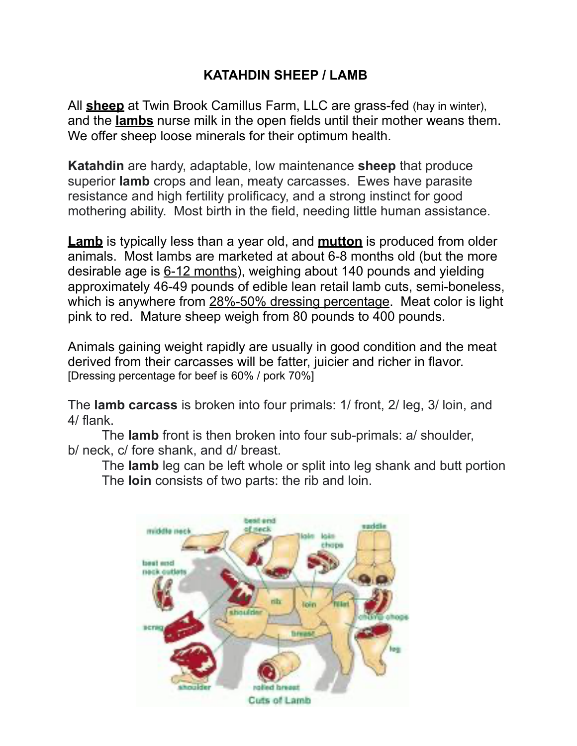## **KATAHDIN SHEEP / LAMB**

All **sheep** at Twin Brook Camillus Farm, LLC are grass-fed (hay in winter), and the **lambs** nurse milk in the open fields until their mother weans them. We offer sheep loose minerals for their optimum health.

**Katahdin** are hardy, adaptable, low maintenance **sheep** that produce superior **lamb** crops and lean, meaty carcasses. Ewes have parasite resistance and high fertility prolificacy, and a strong instinct for good mothering ability. Most birth in the field, needing little human assistance.

**Lamb** is typically less than a year old, and **mutton** is produced from older animals. Most lambs are marketed at about 6-8 months old (but the more desirable age is 6-12 months), weighing about 140 pounds and yielding approximately 46-49 pounds of edible lean retail lamb cuts, semi-boneless, which is anywhere from 28%-50% dressing percentage. Meat color is light pink to red. Mature sheep weigh from 80 pounds to 400 pounds.

Animals gaining weight rapidly are usually in good condition and the meat derived from their carcasses will be fatter, juicier and richer in flavor. [Dressing percentage for beef is 60% / pork 70%]

The **lamb carcass** is broken into four primals: 1/ front, 2/ leg, 3/ loin, and 4/ flank.

 The **lamb** front is then broken into four sub-primals: a/ shoulder, b/ neck, c/ fore shank, and d/ breast.

 The **lamb** leg can be left whole or split into leg shank and butt portion The **loin** consists of two parts: the rib and loin.